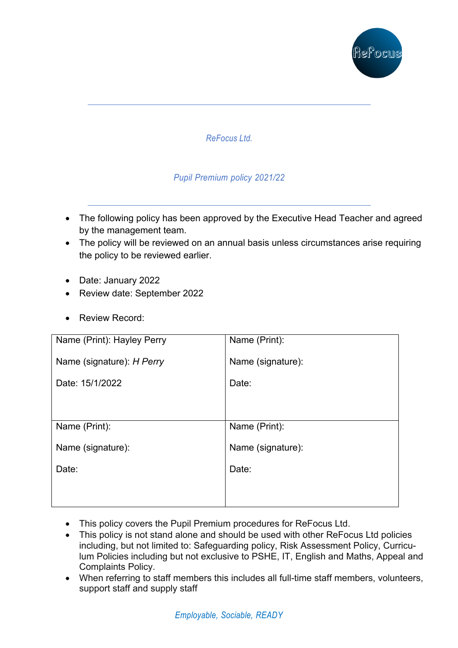

*ReFocus Ltd.*

#### *Pupil Premium policy 2021/22*

- The following policy has been approved by the Executive Head Teacher and agreed by the management team.
- The policy will be reviewed on an annual basis unless circumstances arise requiring the policy to be reviewed earlier.
- Date: January 2022
- Review date: September 2022
- Review Record:

| Name (Print): Hayley Perry | Name (Print):     |
|----------------------------|-------------------|
| Name (signature): H Perry  | Name (signature): |
| Date: 15/1/2022            | Date:             |
|                            |                   |
| Name (Print):              | Name (Print):     |
| Name (signature):          | Name (signature): |
| Date:                      | Date:             |
|                            |                   |
|                            |                   |

- This policy covers the Pupil Premium procedures for ReFocus Ltd.
- This policy is not stand alone and should be used with other ReFocus Ltd policies including, but not limited to: Safeguarding policy, Risk Assessment Policy, Curriculum Policies including but not exclusive to PSHE, IT, English and Maths, Appeal and Complaints Policy.
- When referring to staff members this includes all full-time staff members, volunteers, support staff and supply staff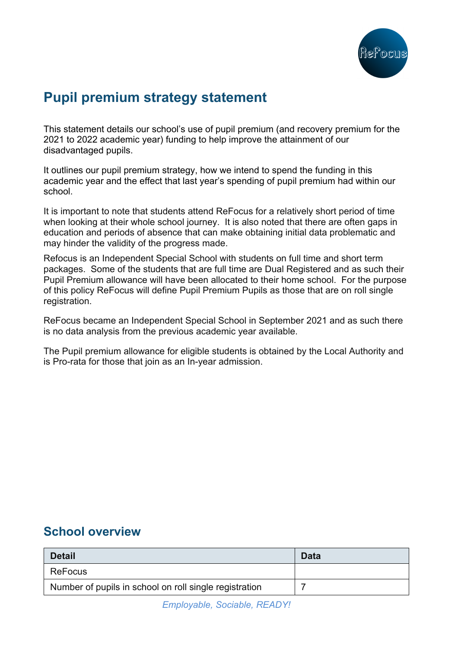

## **Pupil premium strategy statement**

This statement details our school's use of pupil premium (and recovery premium for the 2021 to 2022 academic year) funding to help improve the attainment of our disadvantaged pupils.

It outlines our pupil premium strategy, how we intend to spend the funding in this academic year and the effect that last year's spending of pupil premium had within our school.

It is important to note that students attend ReFocus for a relatively short period of time when looking at their whole school journey. It is also noted that there are often gaps in education and periods of absence that can make obtaining initial data problematic and may hinder the validity of the progress made.

Refocus is an Independent Special School with students on full time and short term packages. Some of the students that are full time are Dual Registered and as such their Pupil Premium allowance will have been allocated to their home school. For the purpose of this policy ReFocus will define Pupil Premium Pupils as those that are on roll single registration.

ReFocus became an Independent Special School in September 2021 and as such there is no data analysis from the previous academic year available.

The Pupil premium allowance for eligible students is obtained by the Local Authority and is Pro-rata for those that join as an In-year admission.

#### **School overview**

| <b>Detail</b>                                          | <b>Data</b> |
|--------------------------------------------------------|-------------|
| <b>ReFocus</b>                                         |             |
| Number of pupils in school on roll single registration |             |

*Employable, Sociable, READY!*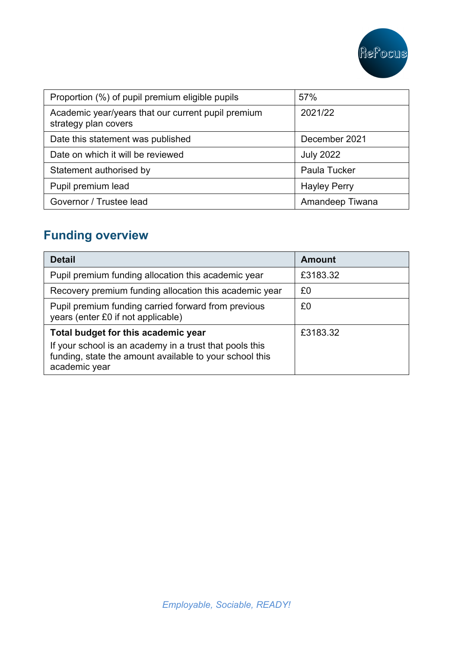

| Proportion (%) of pupil premium eligible pupils                            | 57%                 |
|----------------------------------------------------------------------------|---------------------|
| Academic year/years that our current pupil premium<br>strategy plan covers | 2021/22             |
| Date this statement was published                                          | December 2021       |
| Date on which it will be reviewed                                          | <b>July 2022</b>    |
| Statement authorised by                                                    | Paula Tucker        |
| Pupil premium lead                                                         | <b>Hayley Perry</b> |
| Governor / Trustee lead                                                    | Amandeep Tiwana     |

# **Funding overview**

| <b>Detail</b>                                                                                                                                                              | <b>Amount</b> |
|----------------------------------------------------------------------------------------------------------------------------------------------------------------------------|---------------|
| Pupil premium funding allocation this academic year                                                                                                                        | £3183.32      |
| Recovery premium funding allocation this academic year                                                                                                                     | £0            |
| Pupil premium funding carried forward from previous<br>years (enter £0 if not applicable)                                                                                  | £0            |
| Total budget for this academic year<br>If your school is an academy in a trust that pools this<br>funding, state the amount available to your school this<br>academic year | £3183.32      |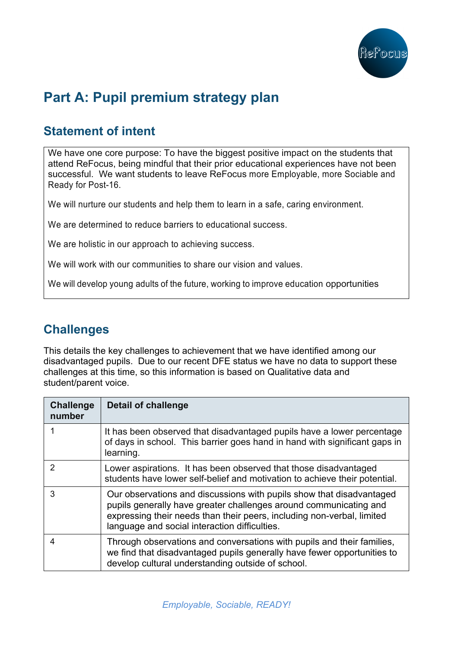

# **Part A: Pupil premium strategy plan**

## **Statement of intent**

We have one core purpose: To have the biggest positive impact on the students that attend ReFocus, being mindful that their prior educational experiences have not been successful. We want students to leave ReFocus more Employable, more Sociable and Ready for Post-16.

We will nurture our students and help them to learn in a safe, caring environment.

We are determined to reduce barriers to educational success.

We are holistic in our approach to achieving success.

We will work with our communities to share our vision and values.

We will develop young adults of the future, working to improve education opportunities

## **Challenges**

This details the key challenges to achievement that we have identified among our disadvantaged pupils. Due to our recent DFE status we have no data to support these challenges at this time, so this information is based on Qualitative data and student/parent voice.

| <b>Challenge</b><br>number | <b>Detail of challenge</b>                                                                                                                                                                                                                                           |
|----------------------------|----------------------------------------------------------------------------------------------------------------------------------------------------------------------------------------------------------------------------------------------------------------------|
|                            | It has been observed that disadvantaged pupils have a lower percentage<br>of days in school. This barrier goes hand in hand with significant gaps in<br>learning.                                                                                                    |
| 2                          | Lower aspirations. It has been observed that those disadvantaged<br>students have lower self-belief and motivation to achieve their potential.                                                                                                                       |
| 3                          | Our observations and discussions with pupils show that disadvantaged<br>pupils generally have greater challenges around communicating and<br>expressing their needs than their peers, including non-verbal, limited<br>language and social interaction difficulties. |
| 4                          | Through observations and conversations with pupils and their families,<br>we find that disadvantaged pupils generally have fewer opportunities to<br>develop cultural understanding outside of school.                                                               |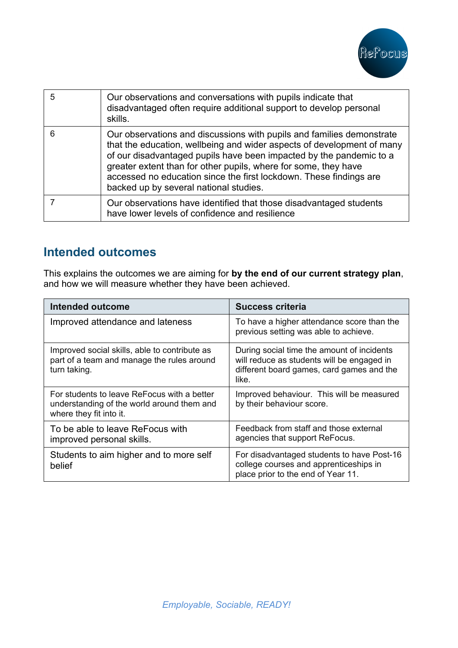

| 5 | Our observations and conversations with pupils indicate that<br>disadvantaged often require additional support to develop personal<br>skills.                                                                                                                                                                                                                                                             |
|---|-----------------------------------------------------------------------------------------------------------------------------------------------------------------------------------------------------------------------------------------------------------------------------------------------------------------------------------------------------------------------------------------------------------|
| 6 | Our observations and discussions with pupils and families demonstrate<br>that the education, wellbeing and wider aspects of development of many<br>of our disadvantaged pupils have been impacted by the pandemic to a<br>greater extent than for other pupils, where for some, they have<br>accessed no education since the first lockdown. These findings are<br>backed up by several national studies. |
|   | Our observations have identified that those disadvantaged students<br>have lower levels of confidence and resilience                                                                                                                                                                                                                                                                                      |

## **Intended outcomes**

This explains the outcomes we are aiming for **by the end of our current strategy plan**, and how we will measure whether they have been achieved.

| Intended outcome                                                                                                     | <b>Success criteria</b>                                                                                                                        |
|----------------------------------------------------------------------------------------------------------------------|------------------------------------------------------------------------------------------------------------------------------------------------|
| Improved attendance and lateness                                                                                     | To have a higher attendance score than the<br>previous setting was able to achieve.                                                            |
| Improved social skills, able to contribute as<br>part of a team and manage the rules around<br>turn taking.          | During social time the amount of incidents<br>will reduce as students will be engaged in<br>different board games, card games and the<br>like. |
| For students to leave ReFocus with a better<br>understanding of the world around them and<br>where they fit into it. | Improved behaviour. This will be measured<br>by their behaviour score.                                                                         |
| To be able to leave ReFocus with<br>improved personal skills.                                                        | Feedback from staff and those external<br>agencies that support ReFocus.                                                                       |
| Students to aim higher and to more self<br>belief                                                                    | For disadvantaged students to have Post-16<br>college courses and apprenticeships in<br>place prior to the end of Year 11.                     |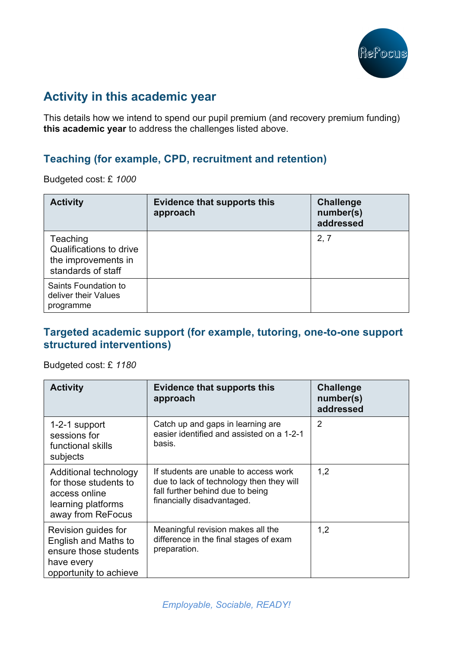

## **Activity in this academic year**

This details how we intend to spend our pupil premium (and recovery premium funding) **this academic year** to address the challenges listed above.

#### **Teaching (for example, CPD, recruitment and retention)**

Budgeted cost: £ *1000*

| <b>Activity</b>                                                                  | <b>Evidence that supports this</b><br>approach | <b>Challenge</b><br>number(s)<br>addressed |
|----------------------------------------------------------------------------------|------------------------------------------------|--------------------------------------------|
| Teaching<br>Qualifications to drive<br>the improvements in<br>standards of staff |                                                | 2, 7                                       |
| Saints Foundation to<br>deliver their Values<br>programme                        |                                                |                                            |

#### **Targeted academic support (for example, tutoring, one-to-one support structured interventions)**

Budgeted cost: £ *1180*

| <b>Activity</b>                                                                                              | <b>Evidence that supports this</b><br>approach                                                                                                      | <b>Challenge</b><br>number(s)<br>addressed |
|--------------------------------------------------------------------------------------------------------------|-----------------------------------------------------------------------------------------------------------------------------------------------------|--------------------------------------------|
| 1-2-1 support<br>sessions for<br>functional skills<br>subjects                                               | Catch up and gaps in learning are<br>easier identified and assisted on a 1-2-1<br>basis.                                                            | $\overline{2}$                             |
| Additional technology<br>for those students to<br>access online<br>learning platforms<br>away from ReFocus   | If students are unable to access work<br>due to lack of technology then they will<br>fall further behind due to being<br>financially disadvantaged. | 1,2                                        |
| Revision guides for<br>English and Maths to<br>ensure those students<br>have every<br>opportunity to achieve | Meaningful revision makes all the<br>difference in the final stages of exam<br>preparation.                                                         | 1,2                                        |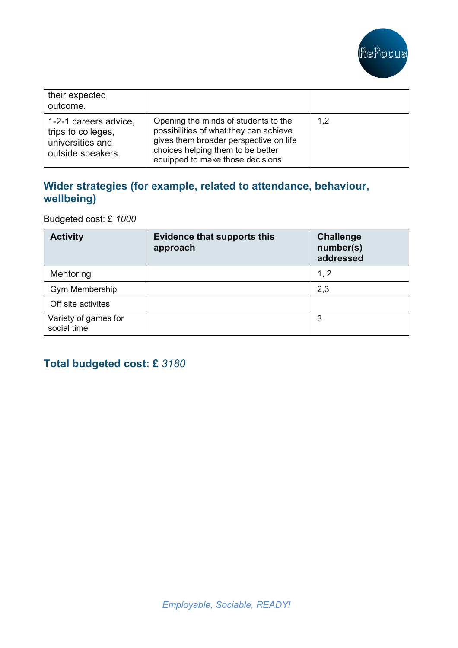

| their expected<br>outcome.                                                           |                                                                                                                                                                                                    |     |
|--------------------------------------------------------------------------------------|----------------------------------------------------------------------------------------------------------------------------------------------------------------------------------------------------|-----|
| 1-2-1 careers advice,<br>trips to colleges,<br>universities and<br>outside speakers. | Opening the minds of students to the<br>possibilities of what they can achieve<br>gives them broader perspective on life<br>choices helping them to be better<br>equipped to make those decisions. | 1,2 |

#### **Wider strategies (for example, related to attendance, behaviour, wellbeing)**

Budgeted cost: £ *1000*

| <b>Activity</b>                     | <b>Evidence that supports this</b><br>approach | <b>Challenge</b><br>number(s)<br>addressed |
|-------------------------------------|------------------------------------------------|--------------------------------------------|
| Mentoring                           |                                                | 1, 2                                       |
| Gym Membership                      |                                                | 2,3                                        |
| Off site activites                  |                                                |                                            |
| Variety of games for<br>social time |                                                | 3                                          |

### **Total budgeted cost: £** *3180*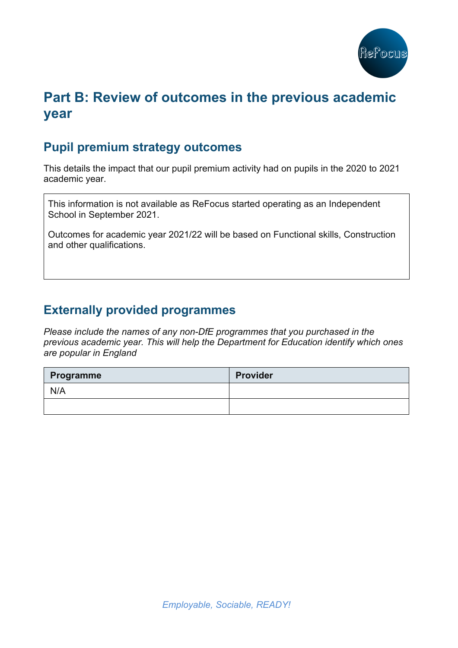

## **Part B: Review of outcomes in the previous academic year**

#### **Pupil premium strategy outcomes**

This details the impact that our pupil premium activity had on pupils in the 2020 to 2021 academic year.

This information is not available as ReFocus started operating as an Independent School in September 2021.

Outcomes for academic year 2021/22 will be based on Functional skills, Construction and other qualifications.

#### **Externally provided programmes**

*Please include the names of any non-DfE programmes that you purchased in the previous academic year. This will help the Department for Education identify which ones are popular in England*

| Programme | <b>Provider</b> |
|-----------|-----------------|
| N/A       |                 |
|           |                 |